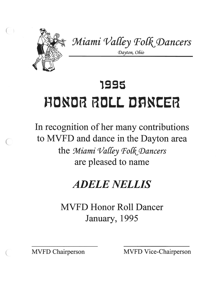

*%iami 'I/alby Fol&\$Dancers* 

*Dayton, Ohio* 

## 1995 **HPNPR RPLL DRNCER**

In recognition of her many contributions to MVFD and dance in the Dayton area the *Miami Valley Folk Dancers* are pleased to name

## *ADELE NELLIS*

MVFD Honor Roll Dancer January, 1995

MVFD Chairperson MVFD Vice-Chairperson